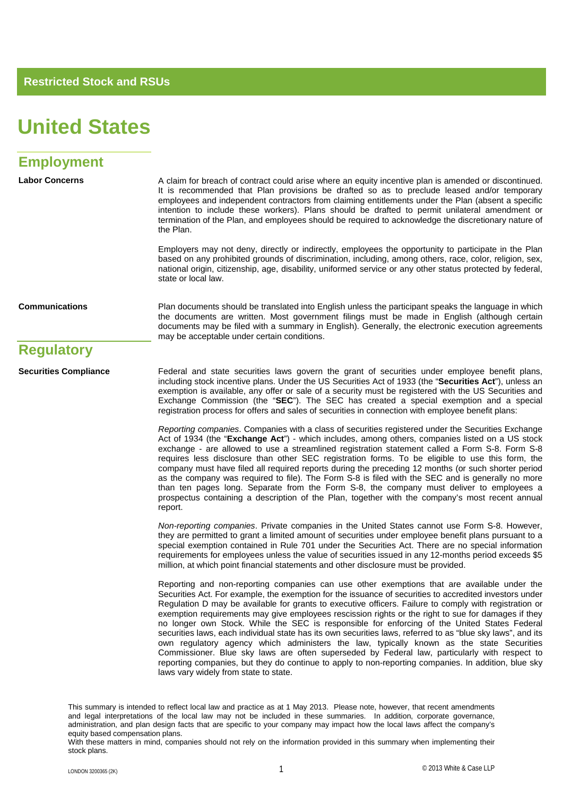### **United States**

### **Employment**

Labor Concerns **A** claim for breach of contract could arise where an equity incentive plan is amended or discontinued. It is recommended that Plan provisions be drafted so as to preclude leased and/or temporary employees and independent contractors from claiming entitlements under the Plan (absent a specific intention to include these workers). Plans should be drafted to permit unilateral amendment or termination of the Plan, and employees should be required to acknowledge the discretionary nature of the Plan.

> Employers may not deny, directly or indirectly, employees the opportunity to participate in the Plan based on any prohibited grounds of discrimination, including, among others, race, color, religion, sex, national origin, citizenship, age, disability, uniformed service or any other status protected by federal, state or local law.

**Communications** Plan documents should be translated into English unless the participant speaks the language in which the documents are written. Most government filings must be made in English (although certain documents may be filed with a summary in English). Generally, the electronic execution agreements may be acceptable under certain conditions.

#### **Regulatory**

**Securities Compliance** Federal and state securities laws govern the grant of securities under employee benefit plans, including stock incentive plans. Under the US Securities Act of 1933 (the "**Securities Act**"), unless an exemption is available, any offer or sale of a security must be registered with the US Securities and Exchange Commission (the "**SEC**"). The SEC has created a special exemption and a special registration process for offers and sales of securities in connection with employee benefit plans:

> *Reporting companies*. Companies with a class of securities registered under the Securities Exchange Act of 1934 (the "**Exchange Act**") - which includes, among others, companies listed on a US stock exchange - are allowed to use a streamlined registration statement called a Form S-8. Form S-8 requires less disclosure than other SEC registration forms. To be eligible to use this form, the company must have filed all required reports during the preceding 12 months (or such shorter period as the company was required to file). The Form S-8 is filed with the SEC and is generally no more than ten pages long. Separate from the Form S-8, the company must deliver to employees a prospectus containing a description of the Plan, together with the company's most recent annual report.

> *Non-reporting companies*. Private companies in the United States cannot use Form S-8. However, they are permitted to grant a limited amount of securities under employee benefit plans pursuant to a special exemption contained in Rule 701 under the Securities Act. There are no special information requirements for employees unless the value of securities issued in any 12-months period exceeds \$5 million, at which point financial statements and other disclosure must be provided.

> Reporting and non-reporting companies can use other exemptions that are available under the Securities Act. For example, the exemption for the issuance of securities to accredited investors under Regulation D may be available for grants to executive officers. Failure to comply with registration or exemption requirements may give employees rescission rights or the right to sue for damages if they no longer own Stock. While the SEC is responsible for enforcing of the United States Federal securities laws, each individual state has its own securities laws, referred to as "blue sky laws", and its own regulatory agency which administers the law, typically known as the state Securities Commissioner. Blue sky laws are often superseded by Federal law, particularly with respect to reporting companies, but they do continue to apply to non-reporting companies. In addition, blue sky laws vary widely from state to state.

This summary is intended to reflect local law and practice as at 1 May 2013. Please note, however, that recent amendments and legal interpretations of the local law may not be included in these summaries. In addition, corporate governance, administration, and plan design facts that are specific to your company may impact how the local laws affect the company's equity based compensation plans.

With these matters in mind, companies should not rely on the information provided in this summary when implementing their stock plans.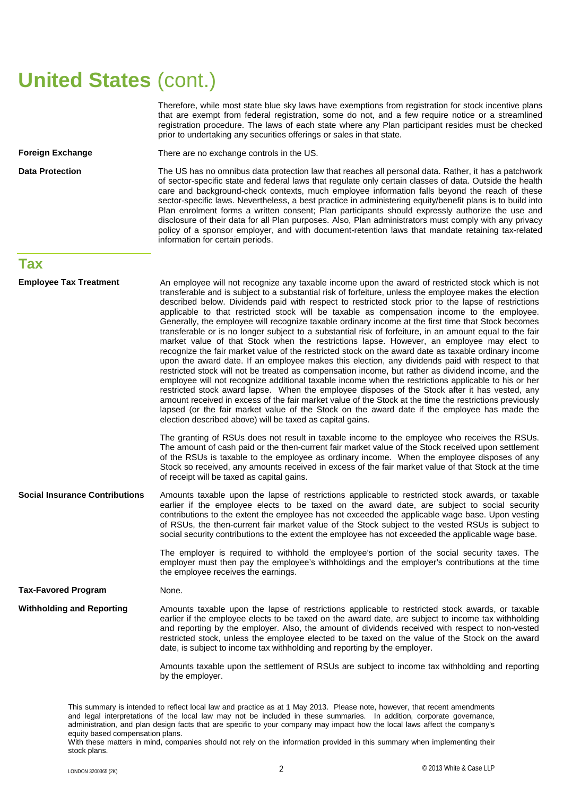## **United States** (cont.)

Therefore, while most state blue sky laws have exemptions from registration for stock incentive plans that are exempt from federal registration, some do not, and a few require notice or a streamlined registration procedure. The laws of each state where any Plan participant resides must be checked prior to undertaking any securities offerings or sales in that state.

**Foreign Exchange** There are no exchange controls in the US.

**Data Protection** The US has no omnibus data protection law that reaches all personal data. Rather, it has a patchwork of sector-specific state and federal laws that regulate only certain classes of data. Outside the health care and background-check contexts, much employee information falls beyond the reach of these sector-specific laws. Nevertheless, a best practice in administering equity/benefit plans is to build into Plan enrolment forms a written consent; Plan participants should expressly authorize the use and disclosure of their data for all Plan purposes. Also, Plan administrators must comply with any privacy policy of a sponsor employer, and with document-retention laws that mandate retaining tax-related information for certain periods.

#### **Tax**

| <b>Employee Tax Treatment</b>         | An employee will not recognize any taxable income upon the award of restricted stock which is not<br>transferable and is subject to a substantial risk of forfeiture, unless the employee makes the election<br>described below. Dividends paid with respect to restricted stock prior to the lapse of restrictions<br>applicable to that restricted stock will be taxable as compensation income to the employee.<br>Generally, the employee will recognize taxable ordinary income at the first time that Stock becomes<br>transferable or is no longer subject to a substantial risk of forfeiture, in an amount equal to the fair<br>market value of that Stock when the restrictions lapse. However, an employee may elect to<br>recognize the fair market value of the restricted stock on the award date as taxable ordinary income<br>upon the award date. If an employee makes this election, any dividends paid with respect to that<br>restricted stock will not be treated as compensation income, but rather as dividend income, and the<br>employee will not recognize additional taxable income when the restrictions applicable to his or her<br>restricted stock award lapse. When the employee disposes of the Stock after it has vested, any<br>amount received in excess of the fair market value of the Stock at the time the restrictions previously<br>lapsed (or the fair market value of the Stock on the award date if the employee has made the<br>election described above) will be taxed as capital gains. |
|---------------------------------------|-----------------------------------------------------------------------------------------------------------------------------------------------------------------------------------------------------------------------------------------------------------------------------------------------------------------------------------------------------------------------------------------------------------------------------------------------------------------------------------------------------------------------------------------------------------------------------------------------------------------------------------------------------------------------------------------------------------------------------------------------------------------------------------------------------------------------------------------------------------------------------------------------------------------------------------------------------------------------------------------------------------------------------------------------------------------------------------------------------------------------------------------------------------------------------------------------------------------------------------------------------------------------------------------------------------------------------------------------------------------------------------------------------------------------------------------------------------------------------------------------------------------------------------------|
|                                       | The granting of RSUs does not result in taxable income to the employee who receives the RSUs.<br>The amount of cash paid or the then-current fair market value of the Stock received upon settlement<br>of the RSUs is taxable to the employee as ordinary income. When the employee disposes of any<br>Stock so received, any amounts received in excess of the fair market value of that Stock at the time<br>of receipt will be taxed as capital gains.                                                                                                                                                                                                                                                                                                                                                                                                                                                                                                                                                                                                                                                                                                                                                                                                                                                                                                                                                                                                                                                                              |
| <b>Social Insurance Contributions</b> | Amounts taxable upon the lapse of restrictions applicable to restricted stock awards, or taxable<br>earlier if the employee elects to be taxed on the award date, are subject to social security<br>contributions to the extent the employee has not exceeded the applicable wage base. Upon vesting<br>of RSUs, the then-current fair market value of the Stock subject to the vested RSUs is subject to<br>social security contributions to the extent the employee has not exceeded the applicable wage base.                                                                                                                                                                                                                                                                                                                                                                                                                                                                                                                                                                                                                                                                                                                                                                                                                                                                                                                                                                                                                        |
|                                       | The employer is required to withhold the employee's portion of the social security taxes. The<br>employer must then pay the employee's withholdings and the employer's contributions at the time<br>the employee receives the earnings.                                                                                                                                                                                                                                                                                                                                                                                                                                                                                                                                                                                                                                                                                                                                                                                                                                                                                                                                                                                                                                                                                                                                                                                                                                                                                                 |
| <b>Tax-Favored Program</b>            | None.                                                                                                                                                                                                                                                                                                                                                                                                                                                                                                                                                                                                                                                                                                                                                                                                                                                                                                                                                                                                                                                                                                                                                                                                                                                                                                                                                                                                                                                                                                                                   |
| <b>Withholding and Reporting</b>      | Amounts taxable upon the lapse of restrictions applicable to restricted stock awards, or taxable<br>earlier if the employee elects to be taxed on the award date, are subject to income tax withholding<br>and reporting by the employer. Also, the amount of dividends received with respect to non-vested<br>restricted stock, unless the employee elected to be taxed on the value of the Stock on the award<br>date, is subject to income tax withholding and reporting by the employer.                                                                                                                                                                                                                                                                                                                                                                                                                                                                                                                                                                                                                                                                                                                                                                                                                                                                                                                                                                                                                                            |
|                                       | Amounts taxable upon the settlement of RSUs are subject to income tax withholding and reporting<br>by the employer.                                                                                                                                                                                                                                                                                                                                                                                                                                                                                                                                                                                                                                                                                                                                                                                                                                                                                                                                                                                                                                                                                                                                                                                                                                                                                                                                                                                                                     |

This summary is intended to reflect local law and practice as at 1 May 2013. Please note, however, that recent amendments and legal interpretations of the local law may not be included in these summaries. In addition, corporate governance, administration, and plan design facts that are specific to your company may impact how the local laws affect the company's equity based compensation plans.

With these matters in mind, companies should not rely on the information provided in this summary when implementing their stock plans.